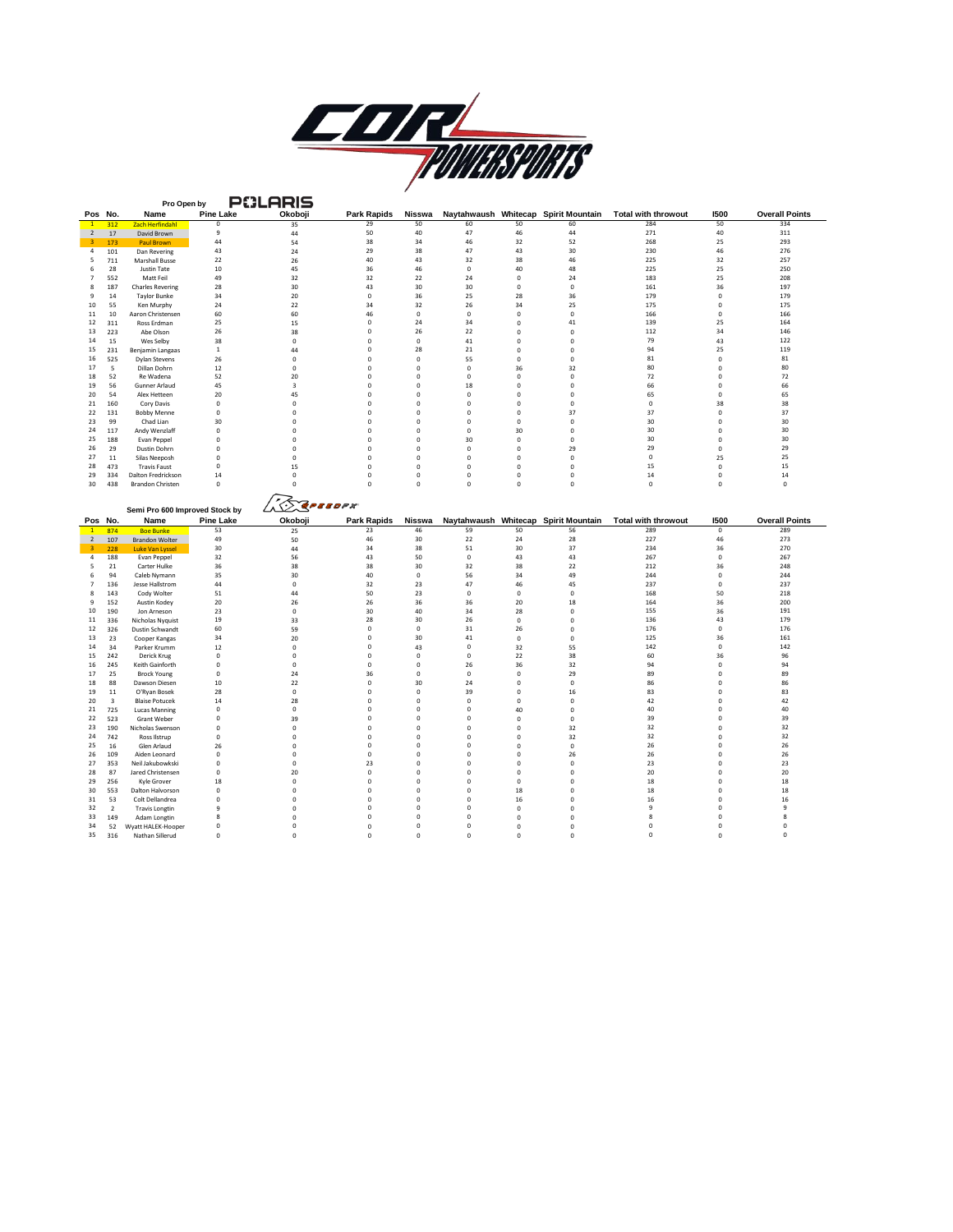

|                                                                                                          | Pro Open by                    |                  | PULHRIS         |                    |             |             |             |                                      |                            |                |                       |
|----------------------------------------------------------------------------------------------------------|--------------------------------|------------------|-----------------|--------------------|-------------|-------------|-------------|--------------------------------------|----------------------------|----------------|-----------------------|
| Pos No.                                                                                                  | Name                           | <b>Pine Lake</b> | Okoboji         | <b>Park Rapids</b> | Nisswa      |             |             | Naytahwaush Whitecap Spirit Mountain | <b>Total with throwout</b> | 1500           | <b>Overall Points</b> |
| 312                                                                                                      | <b>Zach Herfindahl</b>         | $\circ$          | 35              | 29                 | 50          | 60          | 50          | 60                                   | 284                        | 50             | 334                   |
| 17<br>$\overline{2}$                                                                                     | David Brown                    | 9                | 44              | 50                 | 40          | 47          | 46          | 44                                   | 271                        | 40             | 311                   |
| $\overline{\mathbf{3}}$<br>173                                                                           | <b>Paul Brown</b>              | 44               | 54              | 38                 | 34          | 46          | 32          | 52                                   | 268                        | 25             | 293                   |
| 101<br>$\overline{4}$                                                                                    | Dan Revering                   | 43               | 24              | 29                 | 38          | 47          | 43          | 30                                   | 230                        | 46             | 276                   |
| 711<br>-5                                                                                                | <b>Marshall Busse</b>          | 22               | 26              | 40                 | 43          | 32          | 38          | 46                                   | 225                        | 32             | 257                   |
| 6<br>28                                                                                                  | Justin Tate                    | $10\,$           | 45              | 36                 | 46          | $\mathbf 0$ | 40          | 48                                   | 225                        | 25             | 250                   |
|                                                                                                          |                                |                  |                 |                    |             |             | $\circ$     |                                      | 183                        |                |                       |
| 552<br>$\overline{7}$                                                                                    | Matt Feil                      | 49               | 32              | 32                 | 22          | 24          |             | 24                                   |                            | 25             | 208                   |
| 8<br>187                                                                                                 | <b>Charles Revering</b>        | 28               | 30              | 43                 | 30          | 30          | $\circ$     | $\mathbf 0$                          | 161                        | 36             | 197                   |
| 9<br>14                                                                                                  | <b>Taylor Bunke</b>            | 34               | 20              | $\Omega$           | 36          | 25          | 28          | 36                                   | 179                        | $\Omega$       | 179                   |
| 10<br>55                                                                                                 | Ken Murphy                     | 24               | 22              | 34                 | 32          | 26          | 34          | 25                                   | 175                        | $\Omega$       | 175                   |
| 11<br>10                                                                                                 | Aaron Christensen              | 60               | 60              | 46                 | $\mathsf 0$ | $^{\circ}$  | $\mathsf 0$ | 0                                    | 166                        | $\mathbf 0$    | 166                   |
| 12<br>311                                                                                                | Ross Erdman                    | 25               | 15              | $\mathsf 0$        | 24          | 34          | $\Omega$    | 41                                   | 139                        | 25             | 164                   |
| 13<br>223                                                                                                | Abe Olson                      | 26               | 38              | $\mathsf 0$        | 26          | 22          | $\mathbf 0$ | $\mathbf 0$                          | 112                        | 34             | 146                   |
| 14<br>15                                                                                                 |                                | 38               | $\mathbf 0$     | $\Omega$           | $\mathbf 0$ | 41          | $\Omega$    | $\Omega$                             | 79                         | 43             | 122                   |
|                                                                                                          | Wes Selby                      |                  |                 |                    |             |             |             |                                      |                            |                |                       |
| 15<br>231                                                                                                | Benjamin Langaas               | $\,$ 1           | 44              | $\Omega$           | 28          | 21          | $\Omega$    | $\Omega$                             | 94                         | 25             | 119                   |
| 16<br>525                                                                                                | <b>Dylan Stevens</b>           | 26               | 0               | $\mathbf 0$        | $\mathsf 0$ | 55          | $\mathsf 0$ | 0                                    | 81                         | $\mathbf 0$    | 81                    |
| 17<br>5                                                                                                  | Dillan Dohrn                   | 12               | $\mathsf 0$     | $\Omega$           | $\mathbf 0$ | $\mathbf 0$ | 36          | 32                                   | 80                         | $\mathbf 0$    | 80                    |
| 18<br>52                                                                                                 | Re Wadena                      | 52               | 20              | $\mathsf 0$        | $\mathsf 0$ | $\mathbf 0$ | $\mathsf 0$ | $\mathbf 0$                          | 72                         | $\mathbf 0$    | 72                    |
| 19<br>56                                                                                                 | Gunner Arlaud                  | 45               | 3               | $\Omega$           | $\circ$     | 18          | $\circ$     | $\mathbf{0}$                         | 66                         | $\Omega$       | 66                    |
| 20<br>54                                                                                                 | Alex Hetteen                   | 20               | 45              | $^{\circ}$         | $\mathsf 0$ | $\mathbf 0$ | $^{\circ}$  | $^{\circ}$                           | 65                         | $^{\circ}$     | 65                    |
| 160                                                                                                      |                                | $\pmb{0}$        | 0               | $\circ$            | $\mathsf 0$ | $\mathbf 0$ | $\mathsf 0$ | $\mathbf 0$                          | $\mathbf 0$                | 38             | 38                    |
| 21                                                                                                       | Cory Davis                     |                  |                 |                    |             |             |             |                                      |                            |                |                       |
| 22<br>131                                                                                                | <b>Bobby Menne</b>             | $\pmb{0}$        | 0               | $\mathsf 0$        | $\mathsf 0$ | $\mathbf 0$ | $\mathbf 0$ | 37                                   | 37                         | $\mathbf 0$    | 37                    |
| 99<br>23                                                                                                 | Chad Lian                      | 30               | 0               | $\mathsf 0$        | $\mathsf 0$ | $\mathbf 0$ | $\mathbf 0$ | $\mathbf 0$                          | 30                         | $\mathbf 0$    | 30                    |
| 24<br>117                                                                                                | Andy Wenzlaff                  | $\circ$          | $\mathbf 0$     | $\Omega$           | $\circ$     | $\mathbf 0$ | 30          | $\mathbf 0$                          | 30                         | $\Omega$       | 30                    |
| 25<br>188                                                                                                | <b>Evan Peppel</b>             | $\mathbf 0$      | 0               | $\Omega$           | $\mathsf 0$ | 30          | $\mathsf 0$ | $\Omega$                             | 30                         | $\Omega$       | 30                    |
| 26<br>29                                                                                                 | Dustin Dohrn                   | $\Omega$         | 0               | $\Omega$           | $\circ$     | $\Omega$    | $\Omega$    | 29                                   | 29                         | $\Omega$       | 29                    |
| 27<br>11                                                                                                 | Silas Neeposh                  | $\mathbf 0$      | $\mathsf 0$     | $\Omega$           | $\mathsf 0$ | $\mathbf 0$ | $\mathbf 0$ | $\mathbf 0$                          | $\mathbf 0$                | 25             | 25                    |
| 28<br>473                                                                                                | <b>Travis Faust</b>            | $\mathbf 0$      | 15              | $\mathbf 0$        | $\circ$     | $\mathbf 0$ | $\circ$     | $\mathbf 0$                          | 15                         | $\mathbf 0$    | 15                    |
|                                                                                                          |                                |                  |                 |                    |             |             |             |                                      |                            |                |                       |
| 29<br>334                                                                                                | Dalton Fredrickson             | 14               | $\mathsf 0$     | $\Omega$           | $\mathsf 0$ | $\mathbf 0$ | $\circ$     | $\Omega$                             | 14                         | $\Omega$       | 14                    |
| 30<br>438                                                                                                | <b>Brandon Christen</b>        | $\mathbf 0$      | $\Omega$        | $\Omega$           | $\mathsf 0$ | $\mathbf 0$ | $\mathsf 0$ | 0                                    | $\mathsf 0$                | $\mathbf 0$    | $\mathbf 0$           |
|                                                                                                          |                                |                  |                 |                    |             |             |             |                                      |                            |                |                       |
|                                                                                                          |                                |                  | <b>BEPERDEN</b> |                    |             |             |             |                                      |                            |                |                       |
|                                                                                                          | Semi Pro 600 Improved Stock by |                  |                 |                    |             |             |             |                                      |                            |                |                       |
| Pos No.                                                                                                  | Name                           | <b>Pine Lake</b> |                 |                    |             |             |             |                                      |                            |                |                       |
|                                                                                                          |                                |                  |                 |                    |             |             |             |                                      |                            |                |                       |
|                                                                                                          |                                |                  | Okoboji         | <b>Park Rapids</b> | Nisswa      |             |             | Naytahwaush Whitecap Spirit Mountain | <b>Total with throwout</b> | 1500           | <b>Overall Points</b> |
| $\overline{1}$<br>874                                                                                    | <b>Boe Bunke</b>               | 53               | 25              | 23                 | 46          | 59          | 50          | 56                                   | 289                        | $\overline{0}$ | 289                   |
| 107<br>$\overline{2}$                                                                                    | <b>Brandon Wolter</b>          | 49               | 50              | 46                 | 30          | 22          | 24          | 28                                   | 227                        | 46             | 273                   |
| $\overline{\mathbf{3}}$<br>228                                                                           | <b>Luke Van Lyssel</b>         | 30               | 44              | 34                 | 38          | 51          | 30          | 37                                   | 234                        | 36             | 270                   |
| $\sqrt{4}$<br>188                                                                                        | Evan Peppel                    | 32               | 56              | 43                 | 50          | $\pmb{0}$   | 43          | 43                                   | 267                        | $\mathbf 0$    | 267                   |
| 5<br>21                                                                                                  | Carter Hulke                   | 36               | 38              | 38                 | 30          | 32          | 38          | 22                                   | 212                        | 36             | 248                   |
| 6<br>94                                                                                                  | Caleb Nymann                   | 35               | 30              | 40                 | $\mathsf 0$ | 56          | 34          | 49                                   | 244                        | $\mathbf 0$    | 244                   |
| 136                                                                                                      | Jesse Hallstrom                | 44               | $\mathbf 0$     | 32                 | 23          | 47          | 46          | 45                                   | 237                        | $\mathbf 0$    | 237                   |
|                                                                                                          |                                | 51               |                 | 50                 | 23          | $\mathbf 0$ | $\Omega$    | $\Omega$                             | 168                        | 50             | 218                   |
| 143                                                                                                      | Cody Wolter                    |                  | 44              |                    |             |             |             |                                      |                            |                |                       |
| 152                                                                                                      | Austin Kodey                   | 20               | 26              | 26                 | 36          | 36          | 20          | 18                                   | 164                        | 36             | 200                   |
| 190                                                                                                      | Jon Arneson                    | 23               | $\mathsf 0$     | 30                 | 40          | 34          | 28          | $\mathbf 0$                          | 155                        | 36             | 191                   |
| $\overline{7}$<br>8<br>9<br>10<br>11<br>336                                                              | Nicholas Nyquist               | 19               | 33              | 28                 | 30          | 26          | $\circ$     | $\Omega$                             | 136                        | 43             | 179                   |
| 326                                                                                                      | Dustin Schwandt                | 60               | 59              | $\mathsf 0$        | $\mathsf 0$ | 31          | 26          | 0                                    | 176                        | $\mathbf 0$    | 176                   |
| 23                                                                                                       | Cooper Kangas                  | 34               | 20              | $\Omega$           | 30          | 41          | $\circ$     | 0                                    | 125                        | 36             | 161                   |
| 34                                                                                                       | Parker Krumm                   | 12               | 0               | $^{\circ}$         | 43          | 0           | 32          | 55                                   | 142                        | $^{\circ}$     | 142                   |
|                                                                                                          |                                |                  |                 | $\Omega$           |             |             |             |                                      |                            |                |                       |
| 242                                                                                                      | Derick Krug                    | $\pmb{0}$        | $\mathsf 0$     |                    | $\mathsf 0$ | $\mathbf 0$ | 22          | 38                                   | 60                         | 36             | 96                    |
| 245                                                                                                      | Keith Gainforth                | $\circ$          | $\mathbf 0$     | $\Omega$           | $\circ$     | 26          | 36          | 32                                   | 94                         | $\mathbf 0$    | 94                    |
| 25                                                                                                       | <b>Brock Young</b>             | $\pmb{0}$        | 24              | 36                 | $\mathsf 0$ | $\mathbf 0$ | $\Omega$    | 29                                   | 89                         | $\mathbf 0$    | 89                    |
| 88                                                                                                       | Dawson Diesen                  | $10\,$           | 22              | $\Omega$           | 30          | 24          | $\Omega$    | $\mathbf 0$                          | 86                         | $\Omega$       | 86                    |
| $11\,$                                                                                                   | O'Ryan Bosek                   | 28               | $\mathsf 0$     | $\Omega$           | $\mathsf 0$ | 39          | $\mathsf 0$ | 16                                   | 83                         | $\Omega$       | 83                    |
| $\overline{\mathbf{3}}$                                                                                  | <b>Blaise Potucek</b>          | 14               | 28              | $\Omega$           | $\mathsf 0$ | $\mathbf 0$ | $\Omega$    | $\mathbf 0$                          | 42                         | $\Omega$       | 42                    |
| 725                                                                                                      | <b>Lucas Manning</b>           | $\mathbf 0$      | 0               | $\mathsf 0$        | $\mathsf 0$ | $\mathbf 0$ | 40          | $\mathbf 0$                          | 40                         | $\mathbf 0$    | 40                    |
|                                                                                                          |                                | $\circ$          |                 | $\circ$            | $\circ$     | $\Omega$    | $\circ$     | $\mathbf 0$                          | 39                         | $\mathbf 0$    | 39                    |
| 523                                                                                                      | Grant Weber                    |                  | 39              |                    |             |             |             |                                      |                            |                |                       |
| 190                                                                                                      | Nicholas Swenson               | $\pmb{0}$        | 0               | $^{\circ}$         | $\mathsf 0$ | $\mathbf 0$ | $^{\circ}$  | 32                                   | 32                         | $\mathbf 0$    | 32                    |
| 742                                                                                                      | Ross Ilstrup                   | $\mathbf 0$      | 0               | $\circ$            | $\mathsf 0$ | $\mathbf 0$ | $\mathsf 0$ | 32                                   | 32                         | $\mathbf 0$    | 32                    |
| 16                                                                                                       | Glen Arlaud                    | 26               | 0               | $\mathsf 0$        | $\mathsf 0$ | $\mathbf 0$ | $\mathbf 0$ | $\mathbf 0$                          | 26                         | $\mathbf 0$    | 26                    |
| 109                                                                                                      | Aiden Leonard                  | $\mathbf 0$      | 0               | $\mathsf 0$        | $\mathsf 0$ | $\mathbf 0$ | $^{\circ}$  | 26                                   | 26                         | $\mathbf 0$    | 26                    |
| 353                                                                                                      | Neil Jakubowkski               | $\circ$          | $\mathbf 0$     | 23                 | $\circ$     | $\Omega$    | $\circ$     | $\mathbf 0$                          | 23                         | $\mathbf 0$    | 23                    |
| 12<br>13<br>14<br>15<br>16<br>17<br>18<br>19<br>20<br>21<br>22<br>23<br>24<br>25<br>26<br>27<br>28<br>87 | Jared Christensen              | $\circ$          | 20              | $\Omega$           | $\circ$     | $\Omega$    | $\Omega$    | $\Omega$                             | 20                         | $\Omega$       | 20                    |
|                                                                                                          |                                |                  |                 | $\Omega$           |             | $\Omega$    | $\Omega$    | $\Omega$                             |                            | $\Omega$       |                       |
| 29<br>256                                                                                                | Kyle Grover                    | 18               | 0               |                    | $\mathsf 0$ |             |             |                                      | 18                         |                | 18                    |
| 553                                                                                                      | Dalton Halvorson               | $\mathbf 0$      | 0               | $\mathbf 0$        | $\mathsf 0$ | $\mathbf 0$ | 18          | $\mathbf 0$                          | 18                         | $\mathbf 0$    | 18                    |
| 30<br>31<br>53                                                                                           | Colt Dellandrea                | $\overline{0}$   | $\mathsf 0$     | $\mathbf 0$        | $\mathbf 0$ | $\mathbf 0$ | 16          | $\mathbf 0$                          | 16                         | $\mathbf 0$    | 16                    |
| 32<br>$\overline{\phantom{a}}$                                                                           | <b>Travis Longtin</b>          | $\ddot{q}$       | $\mathbf 0$     | $\Omega$           | $\circ$     | $\Omega$    | $\Omega$    | $\Omega$                             | $\overline{9}$             | $\Omega$       | $\ddot{q}$            |
| 33<br>149                                                                                                | Adam Longtin                   | 8                | 0               | $\Omega$           | $\mathsf 0$ | $\mathbf 0$ | $\circ$     | $\mathbf 0$                          | 8                          | $\Omega$       | 8                     |
| 34<br>52                                                                                                 | Wyatt HALEK-Hooper             | $\mathbf 0$      | 0               | $\Omega$           | $\mathsf 0$ | $\Omega$    | $\mathsf 0$ | $\Omega$                             | $\Omega$                   | $\Omega$       | $\mathbf 0$           |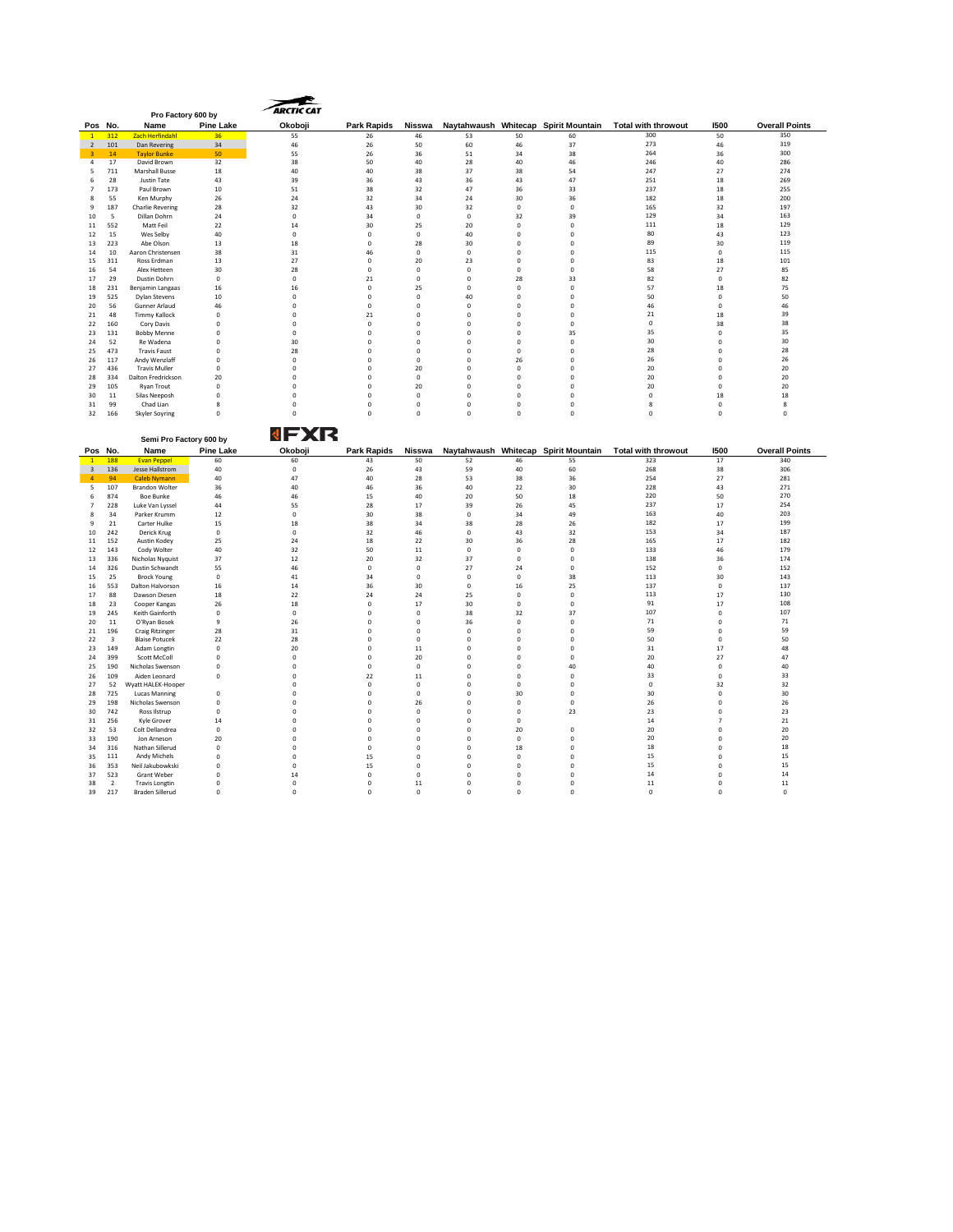|                           | Pro Factory 600 by              |                                                 |                        | <b>ARCTIC CAT</b>       |                         |                                 |                         |                         |                                      |                                                                 |                         |                              |
|---------------------------|---------------------------------|-------------------------------------------------|------------------------|-------------------------|-------------------------|---------------------------------|-------------------------|-------------------------|--------------------------------------|-----------------------------------------------------------------|-------------------------|------------------------------|
|                           |                                 |                                                 |                        |                         |                         |                                 |                         |                         |                                      |                                                                 |                         |                              |
| Pos No.<br>$\blacksquare$ | 312                             | Name<br>Zach Herfindahl                         | <b>Pine Lake</b><br>36 | Okoboji<br>55           | Park Rapids<br>26       | Nisswa<br>46                    | 53                      | 50                      | 60                                   | Naytahwaush Whitecap Spirit Mountain Total with throwout<br>300 | 1500<br>50              | <b>Overall Points</b><br>350 |
| 2                         | 101                             | Dan Revering                                    | 34                     | 46                      | 26                      | 50                              | 60                      | 46                      | 37                                   | 273                                                             | 46                      | 319                          |
| 3                         | 14                              | <b>Taylor Bunke</b>                             | 50                     | 55                      | 26                      | 36                              | 51                      | 34                      | 38                                   | 264                                                             | 36                      | 300                          |
| $\sqrt{4}$                | 17                              | David Brown                                     | 32                     | 38                      | 50                      | 40                              | 28                      | 40                      | 46                                   | 246                                                             | 40                      | 286                          |
| 5                         | 711                             | Marshall Busse                                  | 18                     | 40                      | 40                      | 38                              | 37                      | 38                      | 54                                   | 247                                                             | 27                      | 274                          |
| 6                         | 28                              | Justin Tate                                     | 43                     | 39                      | 36                      | 43                              | 36                      | 43                      | 47                                   | 251                                                             | 18                      | 269                          |
| $\overline{7}$            | 173                             | Paul Brown                                      | 10                     | 51                      | 38                      | 32                              | 47                      | 36                      | 33                                   | 237                                                             | 18                      | 255                          |
| $\bf 8$                   | 55                              | Ken Murphy                                      | 26                     | 24                      | 32                      | 34                              | 24                      | 30                      | 36                                   | 182                                                             | 18                      | 200                          |
| 9                         | 187                             | <b>Charlie Revering</b>                         | 28                     | 32                      | 43                      | 30                              | 32                      | $\mathsf 0$             | $\mathbf 0$                          | 165                                                             | 32                      | 197                          |
| 10                        | - 5                             | Dillan Dohrn                                    | 24                     | $\Omega$                | 34                      | $\Omega$                        | $\Omega$                | 32                      | 39                                   | 129                                                             | 34                      | 163                          |
| $11\,$                    | 552                             | Matt Feil                                       | 22                     | 14                      | 30                      | 25                              | 20                      | $\mathsf 0$             | $\mathbf 0$                          | 111                                                             | 18                      | 129                          |
| 12                        | 15                              | Wes Selby                                       | 40                     | $\mathbf 0$             | $\mathbf 0$             | $\mathsf 0$                     | 40                      | $\mathbf 0$             | $\mathbf 0$                          | 80                                                              | 43                      | 123                          |
| 13                        | 223                             | Abe Olson                                       | 13                     | 18                      | $\mathbf 0$             | 28                              | 30                      | $\mathbf 0$             | $\mathbf 0$                          | 89                                                              | 30                      | 119                          |
| $14\,$                    | 10                              | Aaron Christensen                               | 38                     | 31                      | 46                      | $\mathbf 0$                     | $\mathbf 0$             | $\mathbf 0$             | $\mathbf 0$                          | 115                                                             | $\mathbf 0$             | 115                          |
| 15                        | 311                             | Ross Erdman                                     | 13                     | 27                      | $\mathbf 0$             | 20                              | 23                      | $\Omega$                | $\Omega$                             | 83                                                              | 18                      | 101                          |
| 16                        | 54                              | Alex Hetteen                                    | 30                     | 28                      | $\mathbf 0$             | $\mathbf 0$                     | $^{\circ}$              | $^{\circ}$              | $\mathbf 0$                          | 58                                                              | 27                      | 85                           |
| 17                        | 29                              | Dustin Dohrn                                    | $\mathbf 0$            | $\mathsf 0$             | 21                      | $\mathbf 0$                     | $\mathbf 0$             | 28                      | 33                                   | 82                                                              | $\mathbf 0$             | 82                           |
| 18                        | 231                             | Benjamin Langaas                                | 16                     | 16                      | $\mathbf 0$             | 25                              | $\mathbf 0$             | $\mathbf 0$             | $\overline{0}$                       | 57                                                              | $18\,$                  | 75                           |
| 19                        | 525                             | <b>Dylan Stevens</b>                            | 10                     | $\Omega$                | $\Omega$                | $\mathbf 0$                     | 40                      | $\Omega$                | $\Omega$                             | 50                                                              | $^{\circ}$              | 50                           |
| 20                        | 56                              | Gunner Arlaud                                   | 46                     | $\Omega$                | $\Omega$                | $\Omega$                        | $\Omega$                | $\Omega$                | $\Omega$                             | 46                                                              | $\Omega$                | 46                           |
| 21                        | 48                              | <b>Timmy Kallock</b>                            | $\mathbf 0$            | $\mathsf 0$             | 21                      | $\mathsf 0$                     | $\mathbf 0$             | $\mathbf 0$             | $\mathbf 0$                          | 21                                                              | 18                      | 39                           |
| 22                        | 160                             | Cory Davis                                      | $\circ$                | 0                       | $\mathbf 0$             | $\mathbf 0$                     | $\mathbf 0$             | $\mathbf 0$             | $\overline{0}$                       | $\mathbb O$                                                     | 38                      | 38                           |
| 23                        | 131                             | <b>Bobby Menne</b>                              | $\pmb{0}$              | $\mathsf 0$             | $\mathbf 0$             | $\mathbf 0$                     | $\mathbf 0$             | $\mathbf 0$             | 35                                   | 35                                                              | $\mathbf 0$             | 35                           |
| 24                        | 52                              | Re Wadena                                       | $\circ$                | 30                      | $\mathbf 0$             | $\mathbf 0$                     | $\Omega$                | $\mathbf 0$             | $^{\circ}$                           | 30                                                              | $\mathbf 0$             | 30                           |
| 25                        | 473                             | <b>Travis Faust</b>                             | $\Omega$               | 28                      | $\Omega$                | $\Omega$                        | $\Omega$                | $\Omega$                | $\Omega$                             | 28                                                              | $\Omega$                | 28                           |
| 26                        | 117                             | Andy Wenzlaff                                   | $\mathbf 0$            | $\mathsf 0$             | $\mathbf 0$             | $\mathbf 0$                     | $\mathbf 0$             | 26                      | $\mathbf 0$                          | 26                                                              | $\mathbf 0$             | 26                           |
| 27                        | 436                             | <b>Travis Muller</b>                            | $\mathbf 0$            | $\mathsf 0$             | $\mathbf 0$             | 20                              | $\mathbf 0$             | $\circ$                 | $\mathbf 0$                          | 20                                                              | $\circ$                 | 20                           |
| 28                        | 334                             | Dalton Fredrickson                              | 20                     | $\mathsf 0$             | $\mathbf 0$             | $\mathbf{0}$                    | $\mathbf 0$             | $\mathbf 0$             | $\mathbf 0$                          | 20                                                              | $\pmb{0}$               | 20                           |
| 29                        | 105                             | <b>Ryan Trout</b>                               | $\Omega$               | $\Omega$                | $\Omega$                | 20                              | $\Omega$                | $\Omega$                | $\Omega$                             | 20                                                              | $\Omega$                | 20                           |
| 30                        | 11                              | Silas Neeposh                                   | $\circ$                | 0                       | $\mathbf 0$             | $\mathsf{o}$                    | $\circ$                 | $\mathsf{o}$            | $\pmb{0}$                            | $\mathsf{o}$                                                    | 18                      | 18                           |
| 31                        | 99                              | Chad Lian                                       | 8                      | $\mathsf 0$             | $\mathbf 0$             | $\mathsf 0$                     | $\mathbf 0$             | $\mathsf 0$             | $\mathbf 0$                          | 8                                                               | $\mathbf 0$             | 8                            |
| 32                        | 166                             | <b>Skyler Soyring</b>                           | $\mathbf 0$            | $\mathbf 0$             | $\mathbf 0$             | $\mathbf{0}$                    | $\mathbf 0$             | $\mathbf 0$             | $\mathbf 0$                          | $\mathbf 0$                                                     | $\mathbf 0$             | 0                            |
|                           |                                 |                                                 |                        |                         |                         |                                 |                         |                         |                                      |                                                                 |                         |                              |
|                           |                                 |                                                 |                        | NEXR                    |                         |                                 |                         |                         |                                      |                                                                 |                         |                              |
|                           |                                 | Semi Pro Factory 600 by                         |                        |                         |                         |                                 |                         |                         |                                      |                                                                 |                         |                              |
|                           |                                 |                                                 |                        |                         |                         |                                 |                         |                         |                                      |                                                                 |                         |                              |
|                           | Pos No.                         | Name                                            | <b>Pine Lake</b>       | Okoboji                 | Park Rapids             | Nisswa                          |                         |                         | Naytahwaush Whitecap Spirit Mountain | <b>Total with throwout</b>                                      | 1500                    | <b>Overall Points</b>        |
| $\overline{1}$            | 188                             | <b>Evan Peppe</b>                               | 60                     | 60                      | 43                      | 50                              | 52                      | 46                      | 55                                   | 323                                                             | 17                      | 340                          |
| $\overline{\mathbf{3}}$   | 136                             | Jesse Hallstrom                                 | 40                     | $\mathbf 0$             | 26                      | 43                              | 59                      | 40                      | 60                                   | 268                                                             | 38                      | 306                          |
| $\boldsymbol{A}$          | 94                              | <b>Caleb Nymann</b>                             | 40                     | 47                      | 40                      | 28                              | 53                      | 38                      | 36                                   | 254                                                             | 27                      | 281                          |
| 5                         | 107                             | <b>Brandon Wolter</b>                           | 36                     | 40                      | 46                      | 36                              | 40                      | $22\,$                  | 30                                   | 228                                                             | 43                      | 271                          |
| 6                         | 874                             | <b>Boe Bunke</b>                                | 46                     | 46                      | 15                      | 40                              | 20                      | 50                      | 18                                   | 220                                                             | 50                      | 270                          |
| $\overline{7}$            | 228                             | Luke Van Lyssel                                 | 44                     | 55                      | 28                      | 17                              | 39                      | 26                      | 45                                   | 237                                                             | 17                      | 254                          |
| 8                         | 34                              | Parker Krumm                                    | 12                     | $\mathbf 0$             | 30                      | 38                              | $\Omega$                | 34                      | 49                                   | 163                                                             | 40                      | 203                          |
| $\mathbf{q}$              | 21                              | Carter Hulke                                    | 15                     | 18                      | 38                      | 34                              | 38                      | 28                      | 26                                   | 182                                                             | 17                      | 199                          |
| $10\,$                    | 242                             | Derick Krug                                     | $\pmb{0}$              | $\mathbf 0$             | 32                      | 46                              | $\pmb{0}$               | 43                      | 32                                   | 153                                                             | 34                      | 187                          |
| $11\,$                    | 152                             | Austin Kodey                                    | 25                     | 24                      | 18                      | 22                              | 30                      | 36                      | 28                                   | 165                                                             | 17                      | 182                          |
| 12                        | 143                             | Cody Wolter                                     | 40                     | 32                      | 50                      | $11\,$                          | $\mathbf 0$             | $\,0\,$                 | $\pmb{0}$                            | 133                                                             | 46                      | 179                          |
| 13                        | 336                             | Nicholas Nyquist                                | 37                     | 12                      | 20                      | 32                              | 37                      | $\mathbf 0$             | $^{\circ}$                           | 138                                                             | 36                      | 174                          |
| 14                        | 326                             | Dustin Schwandt                                 | 55                     | 46                      | $\Omega$                | $\Omega$                        | 27                      | 24                      | $\Omega$                             | 152                                                             | $\Omega$                | 152                          |
| 15                        | 25                              | <b>Brock Young</b>                              | $\circ$                | 41                      | 34                      | $\mathbf 0$                     | $\pmb{0}$               | $\mathbf 0$             | 38                                   | 113                                                             | 30                      | 143                          |
| 16                        | 553                             | Dalton Halvorson                                | 16                     | 14                      | 36                      | 30                              | $\mathbf 0$             | 16                      | 25                                   | 137                                                             | $\pmb{0}$               | 137                          |
| 17                        | 88                              | Dawson Diesen                                   | 18                     | 22                      | 24                      | 24                              | 25                      | $\mathbf{0}$            | $^{\circ}$                           | 113                                                             | 17                      | 130                          |
| 18                        | 23                              | Cooper Kangas                                   | 26                     | 18                      | $\Omega$                | 17                              | $30^{\circ}$            | $\Omega$                | $\Omega$                             | 91                                                              | 17                      | 108                          |
| 19                        | 245                             | Keith Gainforth                                 | $\Omega$               | $\mathbf 0$             | $\mathbf 0$             | $\mathbf 0$                     | 38                      | 32                      | 37                                   | 107                                                             | $\mathbf 0$             | 107                          |
| $20\,$                    | ${\bf 11}$                      | O'Ryan Bosek                                    | $\overline{9}$         | $26\,$                  | $\mathbf 0$             | $\mathbf 0$                     | 36                      | $\mathbf 0$             | $\overline{0}$                       | $71\,$                                                          | $\pmb{0}$               | $71\,$                       |
| 21                        | 196                             | <b>Craig Ritzinger</b>                          | 28                     | 31                      | $\mathbf 0$             | $\mathbf 0$                     | $\mathbf 0$             | $\mathbf 0$             | $\mathbf 0$                          | 59                                                              | $\overline{0}$          | 59                           |
| 22                        | $\overline{\mathbf{3}}$         | <b>Blaise Potucek</b>                           | 22                     | 28                      | $\mathbf 0$             | $^{\circ}$                      | $\mathbf 0$             | $\mathbf 0$             | $\mathbf 0$                          | 50                                                              | $\mathbf 0$             | 50                           |
| 23                        | 149                             | Adam Longtin                                    | $\Omega$               | 20                      | $\Omega$                | 11                              | $\Omega$                | $\Omega$                | $\Omega$                             | 31                                                              | 17                      | 48                           |
| 24                        | 399                             | Scott McColl                                    | $\Omega$               | $\Omega$                | $\Omega$                | 20                              | $\Omega$                | $\Omega$                | $\Omega$                             | 20                                                              | 27                      | 47                           |
| 25                        | 190                             | Nicholas Swenson                                | $\circ$                | 0                       | $\mathbf 0$             | $\mathbf 0$                     | $\mathbf 0$             | $\circ$                 | 40                                   | 40                                                              | $\theta$                | 40                           |
| 26                        | 109                             | Aiden Leonard                                   | $\mathbf 0$            | $\mathsf 0$             | 22                      | $11\,$                          | $\mathbf 0$             | $\mathbf 0$             | $\overline{0}$                       | 33                                                              | $\overline{0}$          | 33                           |
| 27                        | 52                              | Wyatt HALEK-Hooper                              |                        | $\mathbf 0$             | $\mathbf 0$             | $\mathsf{O}\xspace$             | $\Omega$                | $\mathbf 0$             | $\mathbf 0$                          | $\mathbf{0}$                                                    | 32                      | 32                           |
| 28                        | 725                             |                                                 | $\Omega$               | $\Omega$                | $\Omega$                | $\mathbf 0$                     | $\Omega$                | 30                      | $\Omega$                             | 30                                                              | $\mathbf 0$             | 30                           |
| 29                        | 198                             | <b>Lucas Manning</b><br>Nicholas Swenson        | $\Omega$               | $\Omega$                | $\Omega$                | 26                              | $\Omega$                | $\circ$                 | $\circ$                              | 26                                                              | $\mathbf 0$             | 26                           |
|                           |                                 |                                                 |                        |                         |                         |                                 |                         |                         |                                      |                                                                 |                         |                              |
| 30                        | 742                             | Ross Ilstrup                                    | $\circ$                | $\mathsf 0$             | $\mathbf 0$             | $\mathsf 0$                     | $\mathbf 0$             | $\mathbf 0$             | 23                                   | 23                                                              | $\mathbf 0$             | 23                           |
| 31                        | 256                             | Kyle Grover                                     | 14                     | 0                       | $\mathbf 0$             | $\mathbf 0$                     | $\mathbf 0$             | $\mathbf 0$             |                                      | 14                                                              | $\overline{7}$          | 21                           |
| 32                        | 53                              | Colt Dellandrea                                 | $\mathbf 0$            | 0                       | $\mathbf 0$             | $\mathsf{O}\xspace$             | $\mathbf 0$<br>$\Omega$ | 20                      | $\theta$                             | 20<br>20                                                        | $\mathbf 0$             | 20                           |
| 33<br>34                  | 190<br>316                      | Jon Arneson                                     | 20<br>$\Omega$         | $\mathbf 0$<br>$\Omega$ | $\mathbf 0$<br>$\Omega$ | $\mathsf{O}\xspace$<br>$\Omega$ | $\Omega$                | $\mathbf{0}$<br>18      | $\mathbf 0$<br>$\Omega$              |                                                                 | $\mathbf 0$<br>$\Omega$ | 20                           |
|                           |                                 | Nathan Sillerud                                 | $\mathbf 0$            |                         |                         |                                 | $\mathbf 0$             |                         | $\mathbf 0$                          | 18                                                              |                         | 18                           |
| 35                        | 111                             | Andy Michels                                    |                        | 0                       | 15                      | 0                               |                         | $\mathbf 0$             |                                      | 15                                                              | $\theta$                | 15                           |
| 36                        | 353                             | Neil Jakubowkski                                | $\mathbf 0$            | $\mathsf 0$             | 15                      | 0                               | $\mathbf 0$<br>$\Omega$ | $\mathbf 0$             | $\mathbf 0$                          | 15<br>14                                                        | $\mathbf 0$             | 15<br>14                     |
| 37                        | 523<br>$\overline{\phantom{a}}$ | Grant Weber                                     | $\circ$<br>$\Omega$    | 14<br>$\Omega$          | $\mathbf 0$<br>$\Omega$ | $\mathbf 0$                     | $\Omega$                | $\mathbf 0$<br>$\Omega$ | $\mathbf 0$<br>$\Omega$              | 11                                                              | $\circ$<br>$\Omega$     |                              |
| 38<br>39                  | 217                             | <b>Travis Longtin</b><br><b>Braden Sillerud</b> | $\Omega$               | $\Omega$                | $\Omega$                | $11\,$<br>$\Omega$              | $\Omega$                | $\Omega$                | $\Omega$                             | $\mathbf 0$                                                     | $\Omega$                | 11<br>$\Omega$               |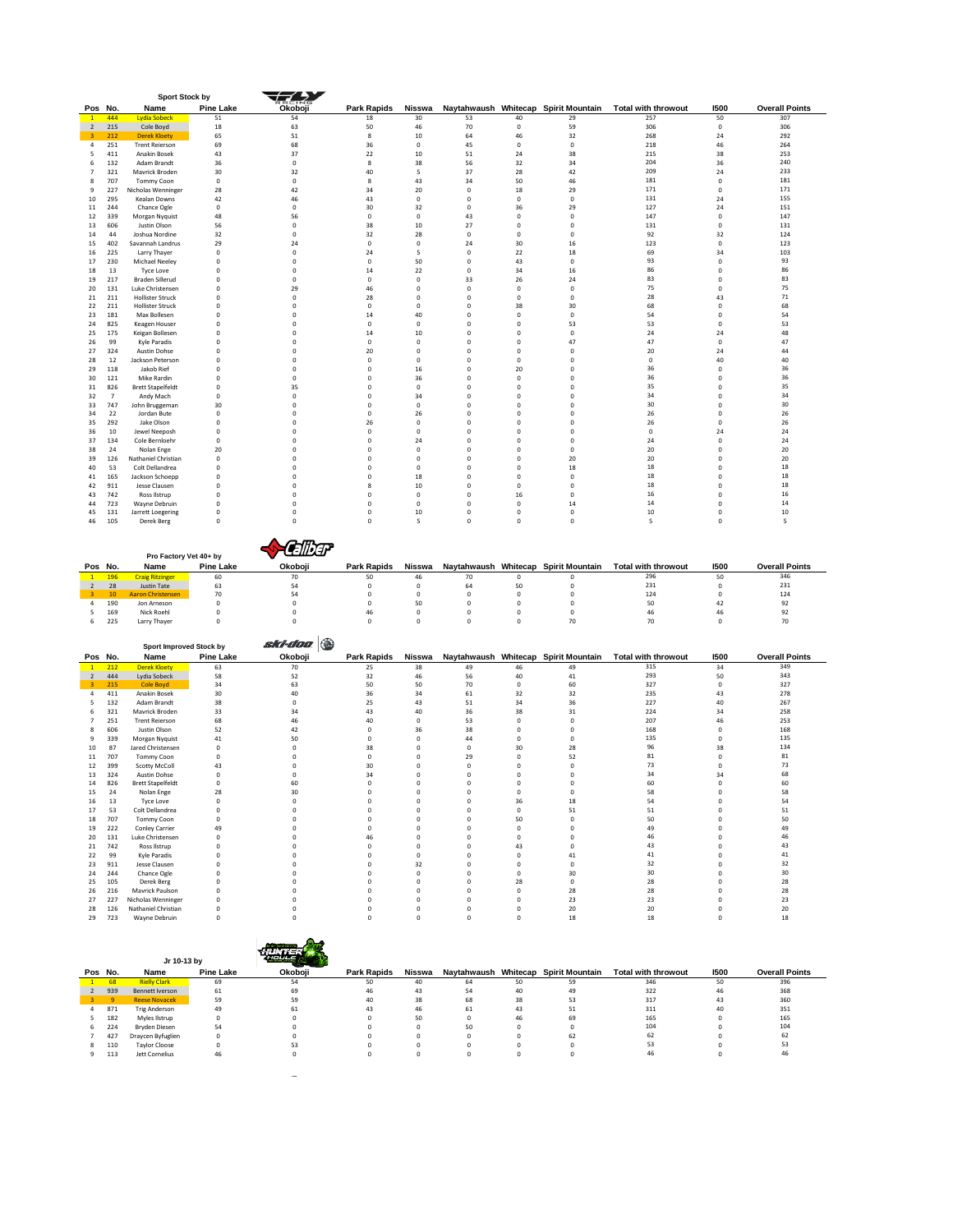|                               |                       | <b>Sport Stock by</b>                              |                            | 5 D Z                      |                            |                                    |                            |                            |                                            |                                   |                            |                              |
|-------------------------------|-----------------------|----------------------------------------------------|----------------------------|----------------------------|----------------------------|------------------------------------|----------------------------|----------------------------|--------------------------------------------|-----------------------------------|----------------------------|------------------------------|
| Pos No.                       |                       | Name                                               | <b>Pine Lake</b>           | Okoboji                    | <b>Park Rapids</b>         | Nisswa                             |                            |                            | Naytahwaush Whitecap Spirit Mountain       | <b>Total with throwout</b>        | 1500                       | <b>Overall Points</b>        |
| $\overline{2}$                | 444<br>215            | <b>Lydia Sobecl</b><br>Cole Boyd                   | 51<br>18                   | 54<br>63                   | 18<br>50                   | 30<br>46                           | 53<br>70                   | 40<br>$\mathbf 0$          | 29<br>59                                   | 257<br>306                        | 50<br>$\mathbf 0$          | 307<br>306                   |
| 3                             | 212                   | <b>Derek Kloety</b>                                | 65                         | 51                         | $\bf8$                     | 10                                 | 64                         | 46                         | 32                                         | 268                               | 24                         | 292                          |
| $\overline{4}$<br>5           | 251<br>411            | <b>Trent Reierson</b><br>Anakin Bosek              | 69<br>43                   | 68<br>37                   | 36<br>22                   | $\mathsf 0$<br>10                  | 45<br>51                   | $\mathbf 0$<br>24          | $\mathbf 0$<br>38                          | 218<br>215                        | 46<br>38                   | 264<br>253                   |
| 6                             | 132                   | Adam Brandt                                        | 36                         | 0                          | 8                          | 38                                 | 56                         | 32                         | 34                                         | 204                               | 36                         | 240                          |
| $\overline{7}$<br>8           | 321<br>707            | Mavrick Broden<br>Tommy Coon                       | 30<br>$^{\circ}$           | 32<br>0                    | 40<br>8                    | 5<br>43                            | 37<br>34                   | 28<br>50                   | 42<br>46                                   | 209<br>181                        | 24<br>$^{\circ}$           | 233<br>181                   |
| $\overline{9}$                | 227                   | Nicholas Wenninger                                 | 28                         | 42                         | 34                         | 20                                 | $\mathbf 0$                | 18                         | 29                                         | 171                               | $\Omega$                   | 171                          |
| 10                            | 295                   | Kealan Downs                                       | 42                         | 46                         | 43<br>30                   | $\mathbf 0$                        | 0                          | $\mathbf 0$<br>36          | $\mathbf 0$                                | 131<br>127                        | 24                         | 155                          |
| 11<br>12                      | 244<br>339            | Chance Ogle<br>Morgan Nyquist                      | 0<br>48                    | 0<br>56                    | $\mathsf 0$                | 32<br>$\mathbf 0$                  | 0<br>43                    | 0                          | 29<br>$\mathbf 0$                          | 147                               | 24<br>$\pmb{0}$            | 151<br>147                   |
| 13                            | 606                   | Justin Olson                                       | 56                         | 0                          | 38                         | 10                                 | 27                         | 0                          | 0                                          | 131                               | $\pmb{0}$                  | 131                          |
| 14<br>15                      | 44<br>402             | Joshua Nordine<br>Savannah Landrus                 | 32<br>29                   | 0<br>24                    | 32<br>$\mathbf 0$          | 28<br>$\mathsf{O}\xspace$          | $^{\circ}$<br>24           | $^{\circ}$<br>30           | $^{\circ}$<br>16                           | 92<br>123                         | 32<br>$\mathbf 0$          | 124<br>123                   |
| 16                            | 225                   | Larry Thayer                                       | $\mathbf 0$                | $\mathbf 0$                | 24                         | 5                                  | $\mathbf 0$                | 22                         | 18                                         | 69                                | 34                         | 103                          |
| 17                            | 230                   | <b>Michael Neeley</b>                              | $\mathbf 0$<br>$\mathbf 0$ | $\mathbf 0$                | $\circ$                    | 50<br>22                           | $\mathbf 0$                | 43                         | $^{\circ}$                                 | 93<br>86                          | $\pmb{0}$<br>$\circ$       | 93<br>86                     |
| 18<br>19                      | 13<br>217             | <b>Tyce Love</b><br><b>Braden Sillerud</b>         | $\mathbf 0$                | 0<br>0                     | 14<br>$\mathsf 0$          | $\mathsf{O}\xspace$                | 0<br>33                    | 34<br>26                   | 16<br>24                                   | 83                                | $\circ$                    | 83                           |
| 20                            | 131                   | Luke Christensen                                   | $\mathbf 0$                | 29                         | 46                         | $\circ$                            | 0                          | 0                          | $\bf{0}$                                   | 75                                | $\circ$                    | 75                           |
| 21<br>22                      | 211<br>211            | <b>Hollister Struck</b><br><b>Hollister Struck</b> | $\Omega$<br>$\mathbf 0$    | 0<br>$\mathsf 0$           | 28<br>$\circ$              | $^{\circ}$<br>$\mathbf 0$          | $\circ$<br>0               | $\Omega$<br>38             | $\Omega$<br>30                             | 28<br>68                          | 43<br>$\mathbf 0$          | $71\,$<br>68                 |
| 23                            | 181                   | Max Bollesen                                       | $\mathbf 0$                | $\mathsf 0$                | 14                         | 40                                 | 0                          | 0                          | $^{\circ}$                                 | 54                                | $\mathbf 0$                | 54                           |
| 24<br>25                      | 825<br>175            | Keagen Houser<br>Keigan Bollesen                   | $\mathbf 0$<br>0           | 0<br>0                     | $\mathsf 0$<br>14          | $\mathbf 0$<br>10                  | 0<br>0                     | 0<br>0                     | 53<br>$\pmb{0}$                            | 53<br>24                          | $\pmb{0}$<br>24            | 53<br>48                     |
| 26                            | 99                    | Kyle Paradis                                       | 0                          | 0                          | $\mathsf 0$                | $\mathsf{O}\xspace$                | 0                          | 0                          | 47                                         | 47                                | $\mathbf 0$                | 47                           |
| 27                            | 324                   | <b>Austin Dohse</b>                                | $^{\circ}$                 | 0                          | 20                         | 0                                  | $\circ$                    | $\mathbf{0}$               | 0                                          | 20<br>$\mathbf 0$                 | 24                         | 44<br>40                     |
| 28<br>29                      | 12<br>118             | Jackson Peterson<br>Jakob Rief                     | $^{\circ}$<br>$^{\circ}$   | $\mathbf 0$<br>$\mathbf 0$ | $\mathsf 0$<br>$\circ$     | $\mathsf{O}\xspace$<br>16          | $\mathbf 0$<br>$\mathbf 0$ | $\mathbf 0$<br>20          | $^{\circ}$<br>$^{\circ}$                   | 36                                | 40<br>$\mathbf 0$          | 36                           |
| 30                            | 121                   | Mike Rardin                                        | $\mathbf 0$                | 0                          | $\mathsf 0$                | 36                                 | 0                          | 0                          | $\bf{0}$                                   | 36                                | $\pmb{0}$                  | 36                           |
| 31<br>32                      | 826<br>$\overline{7}$ | <b>Brett Stapelfeldt</b><br>Andy Mach              | $\mathbf 0$<br>$\mathbf 0$ | 35<br>0                    | $\mathsf 0$<br>$\mathsf 0$ | $\mathbf 0$<br>34                  | 0<br>0                     | 0<br>$\mathbf 0$           | $\mathbf 0$<br>$\bf{0}$                    | 35<br>34                          | $\circ$<br>$\circ$         | 35<br>34                     |
| 33                            | 747                   | John Bruggeman                                     | 30                         | 0                          | $\circ$                    | $^{\circ}$                         | $\mathbf 0$                | $\mathbf 0$                | $^{\circ}$                                 | 30                                | $\circ$                    | 30                           |
| 34                            | 22                    | Jordan Bute                                        | $\Omega$                   | $\mathbf 0$                | $\circ$                    | 26                                 | $\mathbf 0$                | $\Omega$                   | $\Omega$                                   | 26<br>26                          | $\Omega$                   | 26<br>26                     |
| 35<br>36                      | 292<br>10             | Jake Olson<br>Jewel Neeposh                        | $\mathbf 0$<br>$\mathbf 0$ | $\mathbf 0$<br>0           | 26<br>$\mathsf 0$          | $\mathsf 0$<br>$\mathbf 0$         | 0<br>0                     | 0<br>0                     | $^{\circ}$<br>$\mathbf 0$                  | $\mathbf 0$                       | $\mathbf 0$<br>24          | 24                           |
| 37                            | 134                   | Cole Bernloehr                                     | $\mathbf 0$                | 0                          | $\mathsf 0$                | 24                                 | 0                          | 0                          | $\mathbf 0$                                | 24                                | $\pmb{0}$                  | 24                           |
| 38<br>39                      | 24<br>126             | Nolan Enge<br>Nathaniel Christian                  | 20<br>0                    | 0<br>0                     | $\mathsf 0$<br>$\mathsf 0$ | $\mathsf{O}\xspace$<br>$\mathsf 0$ | 0<br>0                     | 0<br>0                     | 0<br>20                                    | 20<br>20                          | $\pmb{0}$<br>$\pmb{0}$     | 20<br>20                     |
| 40                            | 53                    | Colt Dellandrea                                    | $^{\circ}$                 | 0                          | 0                          | $^{\circ}$                         | $\circ$                    | $\mathbf{0}$               | 18                                         | 18                                | $\circ$                    | 18                           |
| 41<br>42                      | 165<br>911            | Jackson Schoepp<br>Jesse Clausen                   | $^{\circ}$<br>$\mathbf 0$  | $\mathbf 0$<br>$\mathbf 0$ | $\circ$<br>8               | 18<br>10                           | $\mathbf 0$<br>$\mathbf 0$ | $\mathbf 0$<br>0           | $^{\circ}$<br>$^{\circ}$                   | 18<br>18                          | $\circ$<br>$\pmb{0}$       | 18<br>18                     |
| 43                            | 742                   | Ross Ilstrup                                       | $\mathbf 0$                | 0                          | $\mathsf 0$                | $\mathsf 0$                        | 0                          | 16                         | $\mathbf 0$                                | 16                                | $\circ$                    | 16                           |
| 44                            | 723                   | Wayne Debruin                                      | $\mathbf 0$                | 0                          | $\mathsf 0$                | $\mathbf 0$                        | 0                          | 0                          | $14\,$                                     | 14                                | $\circ$                    | 14                           |
| 45<br>46                      | 131<br>105            | Jarrett Loegering<br>Derek Berg                    | $\mathbf 0$<br>$^{\circ}$  | 0<br>$\mathsf 0$           | $\mathsf 0$<br>$\circ$     | 10<br>5                            | 0<br>$\mathbf 0$           | 0<br>$\mathbf 0$           | $\mathbf 0$<br>$^{\circ}$                  | 10<br>5                           | $\circ$<br>$\circ$         | 10<br>5                      |
|                               |                       |                                                    |                            |                            |                            |                                    |                            |                            |                                            |                                   |                            |                              |
|                               |                       |                                                    |                            | elbar                      |                            |                                    |                            |                            |                                            |                                   |                            |                              |
|                               |                       | Pro Factory Vet 40+ by                             |                            |                            |                            |                                    |                            |                            |                                            |                                   |                            |                              |
|                               |                       | Name                                               | <b>Pine Lake</b>           | Okoboji                    |                            |                                    |                            |                            |                                            |                                   |                            |                              |
| Pos No.                       |                       |                                                    |                            |                            | <b>Park Rapids</b>         | Nisswa                             |                            |                            | Naytahwaush Whitecap Spirit Mountain       | <b>Total with throwout</b>        | 1500                       | <b>Overall Points</b>        |
| -1<br>$\overline{2}$          | 196<br>28             | <b>Craig Ritzinge</b><br>Justin Tate               | 60<br>63                   | 70<br>54                   | 50<br>$\mathsf 0$          | 46<br>$\mathbf 0$                  | 70<br>64                   | $\mathbf 0$<br>50          | 0<br>$\mathbf 0$                           | 296<br>231                        | 50<br>$\mathbf 0$          | 346<br>231                   |
| 3                             | 10                    | <b>Aaron Christensen</b>                           | 70                         | 54                         | $\mathsf 0$                | $\mathsf{O}\xspace$                | 0                          | 0                          | 0                                          | 124                               | $\mathbf 0$                | 124                          |
| $\overline{4}$<br>5           | 190<br>169            | Jon Arneson<br>Nick Roehl                          | 0<br>0                     | 0<br>0                     | $\mathsf 0$<br>46          | 50<br>0                            | 0<br>0                     | 0<br>0                     | 0<br>0                                     | 50<br>46                          | 42<br>46                   | 92<br>92                     |
| 6                             | 225                   | Larry Thayer                                       | 0                          | $\mathsf 0$                | $\mathsf 0$                | $\mathbf 0$                        | 0                          | $\mathbf 0$                | 70                                         | 70                                | $\mathbf 0$                | 70                           |
|                               |                       |                                                    |                            |                            |                            |                                    |                            |                            |                                            |                                   |                            |                              |
|                               |                       | <b>Sport Improved Stock by</b>                     |                            | ski-doo                    |                            |                                    |                            |                            |                                            |                                   |                            |                              |
| Pos No.<br>$\overline{1}$     | 212                   | Name<br><b>Derek Kloety</b>                        | <b>Pine Lake</b><br>63     | Okoboji<br>70              | <b>Park Rapids</b><br>25   | Nisswa<br>38                       | 49                         | 46                         | Naytahwaush Whitecap Spirit Mountain<br>49 | <b>Total with throwout</b><br>315 | 1500<br>34                 | <b>Overall Points</b><br>349 |
| $\overline{2}$                | 444                   | Lydia Sobeck                                       | 58                         | 52                         | 32                         | 46                                 | 56                         | 40                         | 41                                         | 293                               | 50                         | 343                          |
| 3<br>4                        | 215<br>411            | Cole Boyd                                          | 34<br>30                   | 63                         | 50                         | 50<br>34                           | 70                         | $\mathbf 0$<br>32          | 60<br>32                                   | 327<br>235                        | $^{\circ}$<br>43           | 327<br>278                   |
| 5                             | 132                   | Anakin Bosek<br>Adam Brandt                        | 38                         | 40<br>$\mathbf 0$          | 36<br>25                   | 43                                 | 61<br>51                   | 34                         | 36                                         | 227                               | 40                         | 267                          |
| 6                             | 321                   | Mayrick Broden                                     | 33                         | 34                         | 43                         | 40                                 | 36                         | 38                         | 31                                         | 224                               | 34                         | 258                          |
| $\overline{\phantom{a}}$<br>8 | 251<br>606            | <b>Trent Reierson</b><br>Justin Olson              | 68<br>52                   | 46<br>42                   | 40<br>$\mathsf 0$          | $\mathsf{O}\xspace$<br>36          | 53<br>38                   | 0<br>0                     | $\mathbf 0$<br>0                           | 207<br>168                        | 46<br>$\pmb{0}$            | 253<br>168                   |
| 9                             | 339                   | Morgan Nyquist                                     | 41                         | 50                         | $\mathsf 0$                | $\mathsf{O}\xspace$                | 44                         | 0                          | $\bf{0}$                                   | 135                               | $\pmb{0}$                  | 135                          |
| 10<br>11                      | 87<br>707             | Jared Christensen<br><b>Tommy Coon</b>             | $^{\circ}$<br>$^{\circ}$   | 0<br>$\mathbf 0$           | 38<br>$\mathbf 0$          | $^{\circ}$<br>$\circ$              | $^{\circ}$<br>29           | 30<br>$\mathbf 0$          | 28<br>52                                   | 96<br>81                          | 38<br>$\circ$              | 134<br>81                    |
| 12                            | 399                   | <b>Scotty McColl</b>                               | 43                         | $\mathbf 0$                | 30                         | $\mathbf 0$                        | $\mathbf 0$                | $\mathbf 0$                | $^{\circ}$                                 | 73                                | $\circ$                    | 73                           |
| 13<br>14                      | 324<br>826            | Austin Dohse<br><b>Brett Stapelfeldt</b>           | $\mathbf 0$<br>0           | 0<br>60                    | 34<br>0                    | 0<br>0                             | $\mathbf 0$<br>0           | $\mathbf 0$<br>0           | $\mathbf 0$<br>$^{\circ}$                  | 34<br>60                          | 34<br>0                    | 68<br>60                     |
| 15                            | 24                    | Nolan Enge                                         | 28                         | 30                         | $\mathsf 0$                | $\pmb{0}$                          | 0                          | 0                          | $\mathbf 0$                                | 58                                | $\pmb{0}$                  | 58                           |
| 16<br>17                      | 13<br>53              | <b>Tyce Love</b>                                   | $^{\circ}$<br>$\circ$      | 0                          | $\mathsf 0$                | $\mathbf 0$                        | $\mathbf 0$                | 36                         | 18<br>51                                   | 54                                | $\circ$                    | 54                           |
| 18                            | 707                   | Colt Dellandrea<br>Tommy Coon                      | $\pmb{0}$                  | $\mathsf 0$<br>$\mathsf 0$ | $\mathsf 0$<br>$\mathsf 0$ | $\mathbf 0$<br>$\mathbf 0$         | 0<br>0                     | $\mathbf 0$<br>50          | $\mathbf 0$                                | 51<br>50                          | $\mathbf 0$<br>$\mathbf 0$ | 51<br>50                     |
| 19                            | 222                   | Conley Carrier                                     | 49                         | 0                          | $\pmb{0}$                  | $\mathsf 0$                        | 0                          | $\mathbf 0$                | $\mathbf 0$                                | 49                                | $\pmb{0}$                  | 49                           |
| 20<br>21                      | 131<br>742            | Luke Christensen<br>Ross Ilstrup                   | $\mathbf 0$<br>0           | 0<br>0                     | 46<br>$\mathbf 0$          | $\pmb{0}$<br>$\mathbf 0$           | 0<br>0                     | $\mathbf 0$<br>43          | $\mathbf 0$<br>$\mathbf 0$                 | 46<br>43                          | $\pmb{0}$<br>$\pmb{0}$     | 46<br>43                     |
| 22                            | 99                    | Kyle Paradis                                       | $\circ$                    | 0                          | 0                          | 0                                  | 0                          | 0                          | 41                                         | 41                                | $\mathbf 0$                | 41                           |
| 23                            | 911<br>244            | Jesse Clausen                                      | $^{\circ}$<br>$^{\circ}$   | 0<br>$\mathbf 0$           | $\mathsf 0$<br>$\circ$     | 32<br>$\mathbf 0$                  | $\mathbf 0$<br>$\mathbf 0$ | $^{\circ}$<br>$\mathbf 0$  | $^{\circ}$<br>30                           | 32                                | $\pmb{0}$<br>$\circ$       | 32                           |
| 24<br>25                      | 105                   | Chance Ogle<br>Derek Berg                          | $\mathbf 0$                | 0                          | $\mathsf 0$                | $\mathsf 0$                        | 0                          | 28                         | $\mathbf 0$                                | 30<br>28                          | $\circ$                    | 30<br>28                     |
| 26                            | 216                   | Mavrick Paulson                                    | $\mathbf 0$                | 0                          | $\mathsf 0$                | $\circ$                            | 0                          | 0                          | 28                                         | 28                                | $\circ$                    | 28                           |
| 27<br>28                      | 227<br>126            | Nicholas Wenninger<br>Nathaniel Christian          | $\mathbf 0$<br>$^{\circ}$  | 0<br>$\mathbf 0$           | $\mathsf 0$<br>$\circ$     | $\circ$<br>$\mathbf 0$             | 0<br>$\mathbf 0$           | $\mathbf 0$<br>$\mathbf 0$ | 23<br>20                                   | 23<br>20                          | $\circ$<br>$\circ$         | 23<br>20                     |
| 29                            | 723                   | Wayne Debruin                                      | $\mathbf 0$                | $\mathsf 0$                | $\mathsf 0$                | $\mathsf 0$                        | 0                          | 0                          | 18                                         | 18                                | $\pmb{0}$                  | 18                           |
|                               |                       |                                                    |                            |                            |                            |                                    |                            |                            |                                            |                                   |                            |                              |
|                               |                       |                                                    |                            |                            |                            |                                    |                            |                            |                                            |                                   |                            |                              |
|                               |                       | Jr 10-13 by                                        |                            |                            |                            |                                    |                            |                            |                                            |                                   |                            |                              |
| Pos No.                       |                       | Name                                               | <b>Pine Lake</b>           | Okoboji                    | <b>Park Rapids</b>         | Nisswa                             |                            |                            | Naytahwaush Whitecap Spirit Mountain       | <b>Total with throwout</b>        | 1500                       | <b>Overall Points</b>        |
|                               | 68                    | <b>Rielly Clark</b>                                | 69                         | 54                         | 50                         | 40                                 | 64                         | 50                         | 59                                         | 346                               | 50                         | 396                          |
| $\overline{2}$<br>3           | 939<br>9              | Bennett Iverson<br><b>Reese Novacek</b>            | 61<br>59                   | 69<br>59                   | 46<br>40                   | 43<br>38                           | 54<br>68                   | 40<br>38                   | 49<br>53                                   | 322<br>317                        | 46<br>43                   | 368<br>360                   |
| 4                             | 871                   | <b>Trig Anderson</b>                               | 49                         | 61                         | 43                         | 46                                 | 61                         | 43                         | 51                                         | 311                               | 40                         | 351                          |
| 5<br>6                        | 182<br>224            | Myles Ilstrup<br><b>Bryden Diesen</b>              | $\circ$<br>54              | $\mathbf 0$<br>$\mathsf 0$ | $\circ$<br>$\mathsf 0$     | 50<br>$\mathsf 0$                  | $\mathbf 0$<br>50          | 46<br>$\mathbf 0$          | 69<br>$^{\circ}$                           | 165<br>104                        | $\mathbf 0$<br>$\circ$     | 165<br>104                   |
| $\overline{7}$<br>8           | 427<br>110            | Draycen Byfuglien<br><b>Taylor Cloose</b>          | 0<br>0                     | 0<br>53                    | $\mathsf 0$<br>$\mathsf 0$ | $\mathsf 0$<br>$\mathbf 0$         | 0<br>0                     | 0<br>0                     | 62<br>$\mathbf 0$                          | 62<br>53                          | $\pmb{0}$<br>$\pmb{0}$     | 62<br>53                     |

 $\sigma_{\rm{max}}$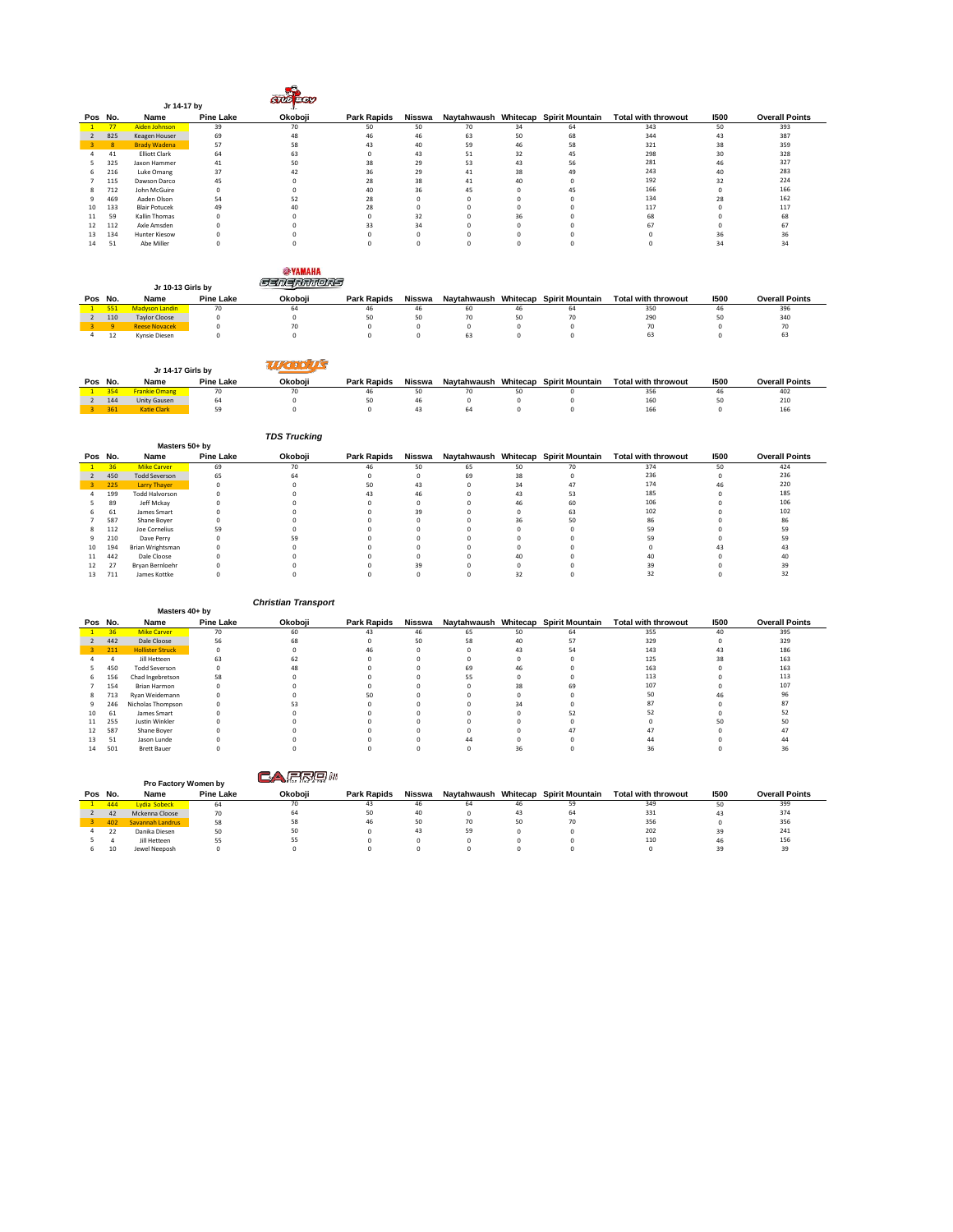|         |     | Jr 14-17 by          |                  | <b>GUIDEOU</b> |                    |        |    |    |                                      |                            |      |                       |
|---------|-----|----------------------|------------------|----------------|--------------------|--------|----|----|--------------------------------------|----------------------------|------|-----------------------|
| Pos No. |     | Name                 | <b>Pine Lake</b> | Okoboji        | <b>Park Rapids</b> | Nisswa |    |    | Naytahwaush Whitecap Spirit Mountain | <b>Total with throwout</b> | 1500 | <b>Overall Points</b> |
|         | 77  | Aiden Johnson        | 39               | 70             | 50                 | 50     | 70 | 34 | 64                                   | 343                        | 50   | 393                   |
|         | 825 | Keagen Houser        | 69               | 48             | 46                 | 46     | 63 | 50 | 68                                   | 344                        | 43   | 387                   |
|         | 8   | <b>Brady Wadena</b>  | 57               | 58             | 43                 | 40     | 59 | 46 | 58                                   | 321                        | 38   | 359                   |
|         | 41  | <b>Elliott Clark</b> | 64               | 63             |                    | 43     | 51 | 32 | 45                                   | 298                        | 30   | 328                   |
|         | 325 | Jaxon Hammer         | 41               | 50             | 38                 | 29     | 53 | 43 | 56                                   | 281                        | 46   | 327                   |
| 6.      | 216 | Luke Omang           | 37               | 42             | 36                 | 29     | 41 | 38 | 49                                   | 243                        | 40   | 283                   |
|         | 115 | Dawson Darco         | 45               |                | 28                 | 38     | 41 | 40 | $\Omega$                             | 192                        | 32   | 224                   |
| 8.      | 712 | John McGuire         |                  |                | 40                 | 36     | 45 |    | 45                                   | 166                        |      | 166                   |
|         | 469 | Aaden Olson          | 54               | 52             | 28                 |        |    |    |                                      | 134                        | 28   | 162                   |
| 10      | 133 | <b>Blair Potucek</b> | 49               |                | 28                 |        |    |    |                                      | 117                        |      | 117                   |
| 11      | 59  | Kallin Thomas        |                  |                |                    | 32     |    | 36 |                                      | 68                         |      | 68                    |
| 12      | 112 | Axle Amsden          |                  |                | 33                 | 34     |    |    |                                      | 67                         |      | 67                    |
| 13      | 134 | Hunter Kiesow        |                  |                |                    |        |    |    |                                      |                            | 36   |                       |
| 14      | 51  | Abe Miller           |                  |                |                    |        |    |    |                                      |                            | 34   | 34                    |

|         |     | Jr 10-13 Girls by     |                  | <b>SYAMAHA</b> |                    |        |                      |    |                        |                            |      |                       |
|---------|-----|-----------------------|------------------|----------------|--------------------|--------|----------------------|----|------------------------|----------------------------|------|-----------------------|
| Pos No. |     | Name                  | <b>Pine Lake</b> | Okoboii        | <b>Park Rapids</b> | Nisswa | Navtahwaush Whitecap |    | <b>Spirit Mountain</b> | <b>Total with throwout</b> | 1500 | <b>Overall Points</b> |
|         | 551 | <b>Madyson Landin</b> | 70               | 64             | 46                 | 46     | 60                   | 46 | 64                     | 350                        | 46   | 396                   |
|         | 110 | <b>Taylor Cloose</b>  |                  |                | 50                 | 50     | 70                   | 50 |                        | 290                        | 50   | 340                   |
|         |     | <b>Reese Novacek</b>  |                  | 70             |                    |        |                      |    |                        | 70                         |      |                       |
|         | 12  | Kynsie Diesen         |                  |                |                    |        | 63                   |    |                        | 63                         |      | 63                    |

|         | Jr 14-17 Girls by    |                  |         |                    |        |    |                                      |                            |      |                       |
|---------|----------------------|------------------|---------|--------------------|--------|----|--------------------------------------|----------------------------|------|-----------------------|
| Pos No. | Name                 | <b>Pine Lake</b> | Okoboji | <b>Park Rapids</b> | Nisswa |    | Naytahwaush Whitecap Spirit Mountain | <b>Total with throwout</b> | 1500 | <b>Overall Points</b> |
| 354     | <b>Frankie Omang</b> |                  | 70      | 46                 |        |    |                                      | 356                        | 46   | 402                   |
| 144     | Unity Gausen         | 64               |         | 50                 |        |    |                                      | 160                        | 50   | 210                   |
| 361     | Katie Clark          |                  |         |                    |        | 64 |                                      | 166                        |      | 166                   |

|    |         |                       |                  | <b>TDS Trucking</b> |                    |        |    |    |    |                                                          |      |                       |
|----|---------|-----------------------|------------------|---------------------|--------------------|--------|----|----|----|----------------------------------------------------------|------|-----------------------|
|    |         | Masters 50+ bv        |                  |                     |                    |        |    |    |    |                                                          |      |                       |
|    | Pos No. | Name                  | <b>Pine Lake</b> | Okoboji             | <b>Park Rapids</b> | Nisswa |    |    |    | Naytahwaush Whitecap Spirit Mountain Total with throwout | 1500 | <b>Overall Points</b> |
|    | 36      | <b>Mike Carver</b>    | 69               | 70                  | 46                 | 50     | 65 | 50 | 70 | 374                                                      | 50   | 424                   |
|    | 450     | <b>Todd Severson</b>  | 65               | 64                  |                    |        | 69 | 38 |    | 236                                                      |      | 236                   |
| з. | 225     | Larry Thayer          | $\Omega$         |                     | 50                 | 43     | O  | 34 | 47 | 174                                                      | 46   | 220                   |
|    | 199     | <b>Todd Halvorson</b> |                  |                     |                    | 46     |    | 43 | 53 | 185                                                      |      | 185                   |
|    | 89      | Jeff Mckay            |                  |                     |                    |        |    |    | 60 | 106                                                      |      | 106                   |
|    | 61      | James Smart           |                  |                     |                    | 39     |    |    | 63 | 102                                                      |      | 102                   |
|    | 587     | Shane Boyer           |                  |                     |                    |        |    | 36 | 50 | 86                                                       |      | 86                    |
| 8  | 112     | Joe Cornelius         | 59               |                     |                    |        |    |    |    | 59                                                       |      | 59                    |
| ۹  | 210     | Dave Perry            |                  | 59                  |                    |        |    |    |    | 59                                                       |      | 59                    |
| 10 | 194     | Brian Wrightsman      |                  |                     |                    |        |    |    |    |                                                          |      |                       |
| 11 | 442     | Dale Cloose           |                  |                     |                    |        |    |    |    |                                                          |      | 40                    |
| 12 | 27      | Bryan Bernloehr       |                  |                     |                    | 39     |    |    |    | 39                                                       |      | 39                    |
| 13 | 711     | James Kottke          |                  |                     |                    |        |    |    |    | 32                                                       |      | 32                    |

|         |                 |                         |                  | <b>Christian Transport</b> |                    |        |    |    |                                      |                            |      |                       |
|---------|-----------------|-------------------------|------------------|----------------------------|--------------------|--------|----|----|--------------------------------------|----------------------------|------|-----------------------|
|         |                 | Masters 40+ by          |                  |                            |                    |        |    |    |                                      |                            |      |                       |
| Pos No. |                 | Name                    | <b>Pine Lake</b> | Okoboji                    | <b>Park Rapids</b> | Nisswa |    |    | Naytahwaush Whitecap Spirit Mountain | <b>Total with throwout</b> | 1500 | <b>Overall Points</b> |
|         | 36 <sup>°</sup> | <b>Mike Carver</b>      | 70               | 60                         | 43                 | 46     | 65 | 50 | 64                                   | 355                        | 40   | 395                   |
|         | 442             | Dale Cloose             | 56               | 68                         |                    | 50     | 58 | 40 | 57                                   | 329                        |      | 329                   |
|         | 211             | <b>Hollister Struck</b> | $^{\circ}$       |                            |                    |        |    | 43 | 54                                   | 143                        | 43   | 186                   |
|         |                 | Jill Hetteen            | 63               |                            |                    |        |    |    |                                      | 125                        | 38   | 163                   |
|         | 450             | <b>Todd Severson</b>    |                  |                            |                    |        | 69 | 46 |                                      | 163                        |      | 163                   |
| 6       | 156             | Chad Ingebretson        | 58               |                            |                    |        | 55 |    |                                      | 113                        |      | 113                   |
|         | 154             | Brian Harmon            |                  |                            |                    |        |    | 38 | 69                                   | 107                        |      | 107                   |
| 8       | 713             | Ryan Weidemann          |                  |                            |                    |        |    |    |                                      | 50                         | 46   | 96                    |
|         | 246             | Nicholas Thompson       |                  |                            |                    |        |    | 34 |                                      | 87                         |      |                       |
| 10      | 61              | James Smart             |                  |                            |                    |        |    |    |                                      | 52                         |      |                       |
| 11      | 255             | Justin Winkler          |                  |                            |                    |        |    |    |                                      |                            | 50   |                       |
| 12      | 587             | Shane Boyer             |                  |                            |                    |        |    |    | 47                                   | 47                         |      |                       |
|         | 51              | Jason Lunde             |                  |                            |                    |        |    |    |                                      | 44                         |      |                       |
| 14      | 501             | <b>Brett Bauer</b>      |                  |                            |                    |        |    |    |                                      | 36                         |      |                       |

|               |         | Pro Factory Women by |                  |         |                    |        |                      |    |                        |                            |      |                       |
|---------------|---------|----------------------|------------------|---------|--------------------|--------|----------------------|----|------------------------|----------------------------|------|-----------------------|
|               | Pos No. | Name                 | <b>Pine Lake</b> | Okoboii | <b>Park Rapids</b> | Nisswa | Navtahwaush Whitecap |    | <b>Spirit Mountain</b> | <b>Total with throwout</b> | 1500 | <b>Overall Points</b> |
|               | 444     | Lydia Sobeck         | 64               | 70      | 43                 | 46     |                      | 46 |                        | 349                        | 50   | 399                   |
| $\mathcal{L}$ | 42      | Mckenna Cloose       | 70               |         | 50                 | 40     |                      | 43 | 64                     | 331                        | 43   | 374                   |
|               | 402     | Savannah Landrus     | 58               | 58      | 46                 | 50     | 70                   | 50 |                        | 356                        |      | 356                   |
|               | 22      | Danika Diesen        | 50               | 50      |                    | 43     | 59                   |    |                        | 202                        | 39   | 241                   |
|               |         | Jill Hetteen         |                  |         |                    |        |                      |    |                        | 110                        | 46   | 156                   |
|               | 10      | Jewel Neeposh        |                  |         |                    |        |                      |    |                        |                            | 39   | 39                    |